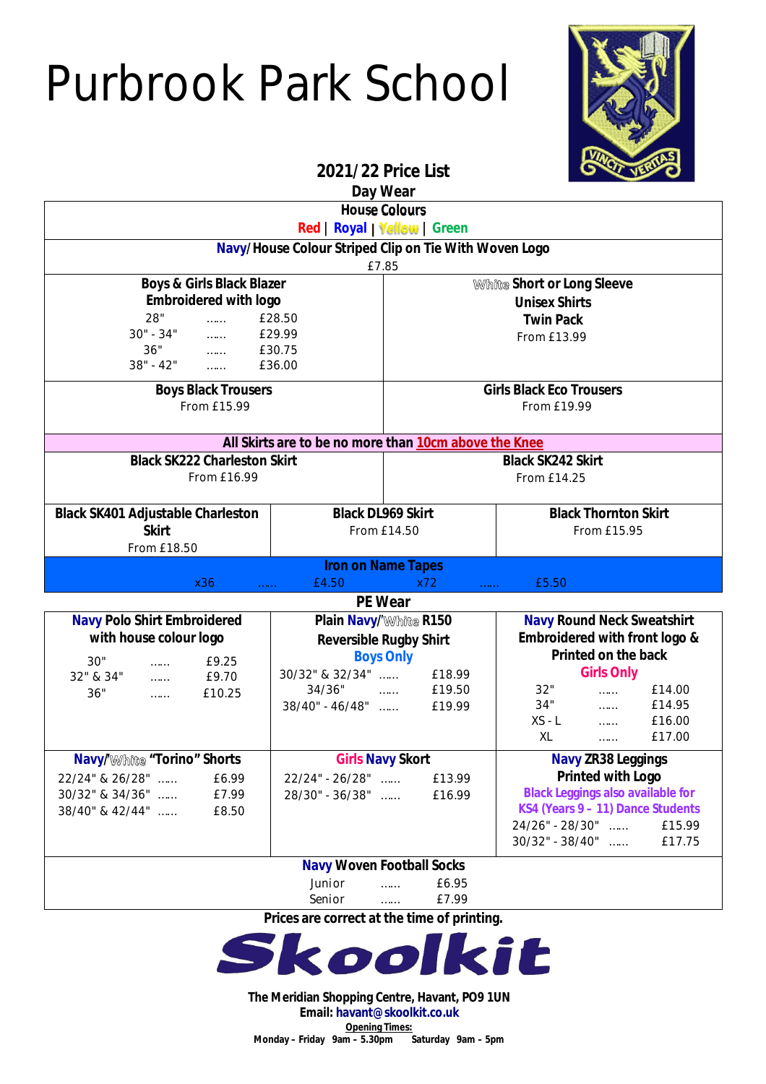## Purbrook Park School



**2021/22 Price List**

| Day Wear                                                                                                          |                                 |                                                         |                                                                               |
|-------------------------------------------------------------------------------------------------------------------|---------------------------------|---------------------------------------------------------|-------------------------------------------------------------------------------|
| <b>House Colours</b>                                                                                              |                                 |                                                         |                                                                               |
| Red   Royal   Yellow   Green                                                                                      |                                 |                                                         |                                                                               |
| Navy/House Colour Striped Clip on Tie With Woven Logo<br>£7.85                                                    |                                 |                                                         |                                                                               |
| <b>Boys &amp; Girls Black Blazer</b>                                                                              |                                 | White Short or Long Sleeve                              |                                                                               |
| <b>Embroidered with logo</b>                                                                                      |                                 | <b>Unisex Shirts</b>                                    |                                                                               |
| 28"<br>£28.50<br>$\cdots$                                                                                         |                                 | <b>Twin Pack</b>                                        |                                                                               |
| $30" - 34"$<br>$\frac{1}{2}$                                                                                      | £29.99                          | From £13.99                                             |                                                                               |
| $\label{eq:1} \lim_{t\to\infty}\frac{1}{t} \int_{0}^{t} \frac{1}{t} \, dt$<br>36"<br>$38" - 42"$<br><b>Common</b> | £30.75<br>£36.00                |                                                         |                                                                               |
| <b>Boys Black Trousers</b>                                                                                        |                                 | <b>Girls Black Eco Trousers</b>                         |                                                                               |
| From £15.99                                                                                                       |                                 | From £19.99                                             |                                                                               |
|                                                                                                                   |                                 |                                                         |                                                                               |
| All Skirts are to be no more than 10cm above the Knee                                                             |                                 |                                                         |                                                                               |
| <b>Black SK222 Charleston Skirt</b>                                                                               |                                 | <b>Black SK242 Skirt</b>                                |                                                                               |
| From £16.99                                                                                                       |                                 | From £14.25                                             |                                                                               |
| <b>Black SK401 Adjustable Charleston</b>                                                                          |                                 | <b>Black DL969 Skirt</b><br><b>Black Thornton Skirt</b> |                                                                               |
| <b>Skirt</b>                                                                                                      |                                 | From £14.50                                             | From £15.95                                                                   |
| From £18.50                                                                                                       |                                 |                                                         |                                                                               |
| <b>Iron on Name Tapes</b>                                                                                         |                                 |                                                         |                                                                               |
| £4.50<br>x36<br>x72<br>£5.50<br>.<br><b>PE Wear</b>                                                               |                                 |                                                         |                                                                               |
| <b>Navy Polo Shirt Embroidered</b><br><b>Plain Navy/White R150</b>                                                |                                 | <b>Navy Round Neck Sweatshirt</b>                       |                                                                               |
| with house colour logo                                                                                            |                                 | <b>Reversible Rugby Shirt</b>                           | Embroidered with front logo &                                                 |
| 30"<br>£9.25<br>$\ldots$                                                                                          | <b>Boys Only</b>                |                                                         | Printed on the back                                                           |
| 32" & 34"<br>£9.70<br>$\ldots$                                                                                    | 30/32" & 32/34"                 | £18.99                                                  | <b>Girls Only</b>                                                             |
| 36"<br>£10.25<br>$\ldots$                                                                                         | $34/36$ "<br>$38/40$ " - 46/48" | £19.50                                                  | 32"<br>£14.00<br>$\cdots$<br>34"                                              |
|                                                                                                                   |                                 | £19.99                                                  | $f{14.95}$<br>$f{16.00}$<br>$f{16.00}$<br>$XS - L$                            |
|                                                                                                                   |                                 |                                                         | XL<br>£17.00<br>$\sim$ $\sim$                                                 |
| <b>Girls Navy Skort</b><br><b>Navy/White "Torino" Shorts</b>                                                      |                                 | <b>Navy ZR38 Leggings</b>                               |                                                                               |
| 22/24" & 26/28"<br>£6.99                                                                                          | 22/24" - 26/28"                 | £13.99                                                  | <b>Printed with Logo</b>                                                      |
| £7.99<br>30/32" & 34/36"                                                                                          | 28/30" - 36/38"                 | £16.99                                                  | <b>Black Leggings also available for</b><br>KS4 (Years 9 - 11) Dance Students |
| 38/40" & 42/44"<br>£8.50                                                                                          |                                 |                                                         | 24/26" - 28/30"<br>£15.99                                                     |
|                                                                                                                   |                                 |                                                         | $30/32" - 38/40"$<br>£17.75                                                   |
| <b>Navy Woven Football Socks</b>                                                                                  |                                 |                                                         |                                                                               |
| Junior<br>£6.95<br>.                                                                                              |                                 |                                                         |                                                                               |
|                                                                                                                   | Senior                          | £7.99                                                   |                                                                               |

**Prices are correct at the time of printing.**



**The Meridian Shopping Centre, Havant, PO9 1UN Email: havant@skoolkit.co.uk Opening Times: Monday – Friday 9am – 5.30pm Saturday 9am – 5pm**